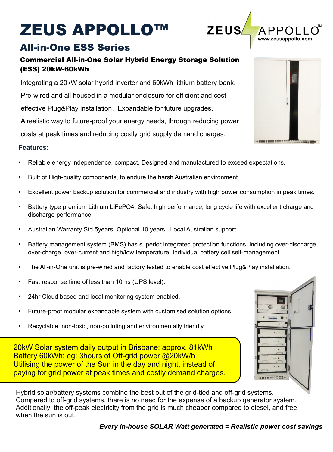# ZEUS APPOLLO™

## All-in-One ESS Series

### Commercial All-in-One Solar Hybrid Energy Storage Solution (ESS) 20kW-60kWh

 costs at peak times and reducing costly grid supply demand charges. Integrating a 20kW solar hybrid inverter and 60kWh lithium battery bank. Pre-wired and all housed in a modular enclosure for efficient and cost effective Plug&Play installation. Expandable for future upgrades. A realistic way to future-proof your energy needs, through reducing power

#### **Features:**

- Reliable energy independence, compact. Designed and manufactured to exceed expectations.
- Built of High-quality components, to endure the harsh Australian environment.
- Excellent power backup solution for commercial and industry with high power consumption in peak times.
- Battery type premium Lithium LiFePO4, Safe, high performance, long cycle life with excellent charge and discharge performance.
- Australian Warranty Std 5years, Optional 10 years. Local Australian support.
- Battery management system (BMS) has superior integrated protection functions, including over-discharge, over-charge, over-current and high/low temperature. Individual battery cell self-management.
- The All-in-One unit is pre-wired and factory tested to enable cost effective Plug&Play installation.
- Fast response time of less than 10ms (UPS level).
- 24hr Cloud based and local monitoring system enabled.
- Future-proof modular expandable system with customised solution options.
- Recyclable, non-toxic, non-polluting and environmentally friendly.

20kW Solar system daily output in Brisbane: approx. 81kWh Battery 60kWh: eg: 3hours of Off-grid power @20kW/h Utilising the power of the Sun in the day and night, instead of paying for grid power at peak times and costly demand charges.

Hybrid solar/battery systems combine the best out of the grid-tied and off-grid systems. Compared to off-grid systems, there is no need for the expense of a backup generator system. Additionally, the off-peak electricity from the grid is much cheaper compared to diesel, and free when the sun is out.





**ZEUS**  $PP($ www.zeusappollo.com